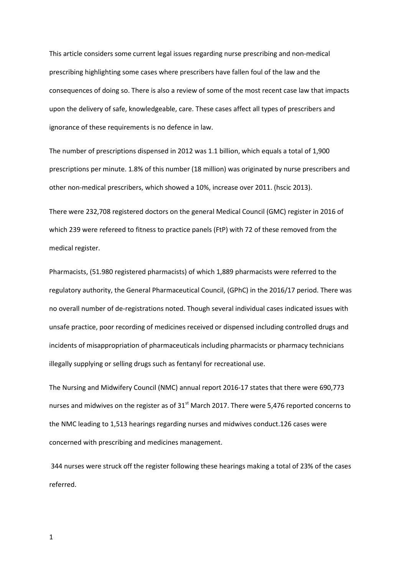This article considers some current legal issues regarding nurse prescribing and non-medical prescribing highlighting some cases where prescribers have fallen foul of the law and the consequences of doing so. There is also a review of some of the most recent case law that impacts upon the delivery of safe, knowledgeable, care. These cases affect all types of prescribers and ignorance of these requirements is no defence in law.

The number of prescriptions dispensed in 2012 was 1.1 billion, which equals a total of 1,900 prescriptions per minute. 1.8% of this number (18 million) was originated by nurse prescribers and other non-medical prescribers, which showed a 10%, increase over 2011. (hscic 2013).

There were 232,708 registered doctors on the general Medical Council (GMC) register in 2016 of which 239 were refereed to fitness to practice panels (FtP) with 72 of these removed from the medical register.

Pharmacists, (51.980 registered pharmacists) of which 1,889 pharmacists were referred to the regulatory authority, the General Pharmaceutical Council, (GPhC) in the 2016/17 period. There was no overall number of de-registrations noted. Though several individual cases indicated issues with unsafe practice, poor recording of medicines received or dispensed including controlled drugs and incidents of misappropriation of pharmaceuticals including pharmacists or pharmacy technicians illegally supplying or selling drugs such as fentanyl for recreational use.

The Nursing and Midwifery Council (NMC) annual report 2016-17 states that there were 690,773 nurses and midwives on the register as of  $31<sup>st</sup>$  March 2017. There were 5,476 reported concerns to the NMC leading to 1,513 hearings regarding nurses and midwives conduct.126 cases were concerned with prescribing and medicines management.

344 nurses were struck off the register following these hearings making a total of 23% of the cases referred.

1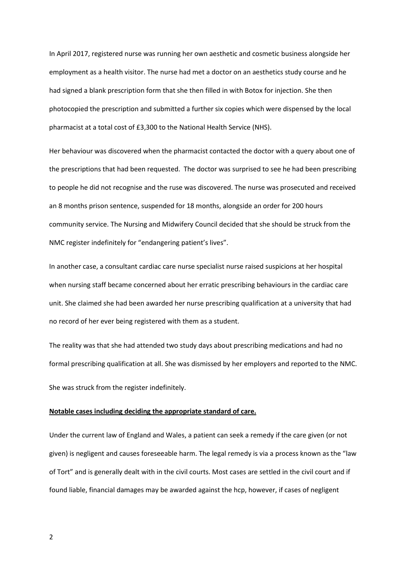In April 2017, registered nurse was running her own aesthetic and cosmetic business alongside her employment as a health visitor. The nurse had met a doctor on an aesthetics study course and he had signed a blank prescription form that she then filled in with Botox for injection. She then photocopied the prescription and submitted a further six copies which were dispensed by the local pharmacist at a total cost of £3,300 to the National Health Service (NHS).

Her behaviour was discovered when the pharmacist contacted the doctor with a query about one of the prescriptions that had been requested. The doctor was surprised to see he had been prescribing to people he did not recognise and the ruse was discovered. The nurse was prosecuted and received an 8 months prison sentence, suspended for 18 months, alongside an order for 200 hours community service. The Nursing and Midwifery Council decided that she should be struck from the NMC register indefinitely for "endangering patient's lives".

In another case, a consultant cardiac care nurse specialist nurse raised suspicions at her hospital when nursing staff became concerned about her erratic prescribing behaviours in the cardiac care unit. She claimed she had been awarded her nurse prescribing qualification at a university that had no record of her ever being registered with them as a student.

The reality was that she had attended two study days about prescribing medications and had no formal prescribing qualification at all. She was dismissed by her employers and reported to the NMC. She was struck from the register indefinitely.

## **Notable cases including deciding the appropriate standard of care.**

Under the current law of England and Wales, a patient can seek a remedy if the care given (or not given) is negligent and causes foreseeable harm. The legal remedy is via a process known as the "law of Tort" and is generally dealt with in the civil courts. Most cases are settled in the civil court and if found liable, financial damages may be awarded against the hcp, however, if cases of negligent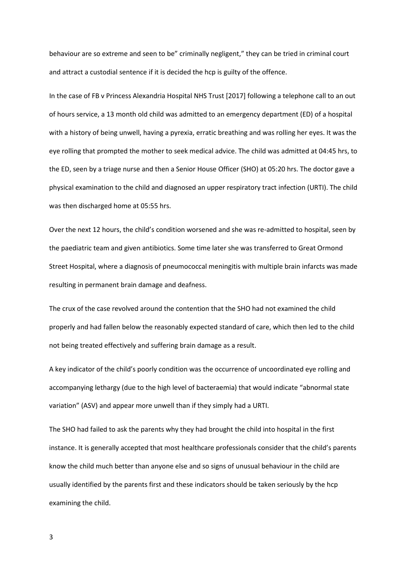behaviour are so extreme and seen to be" criminally negligent," they can be tried in criminal court and attract a custodial sentence if it is decided the hcp is guilty of the offence.

In the case of FB v Princess Alexandria Hospital NHS Trust [2017] following a telephone call to an out of hours service, a 13 month old child was admitted to an emergency department (ED) of a hospital with a history of being unwell, having a pyrexia, erratic breathing and was rolling her eyes. It was the eye rolling that prompted the mother to seek medical advice. The child was admitted at 04:45 hrs, to the ED, seen by a triage nurse and then a Senior House Officer (SHO) at 05:20 hrs. The doctor gave a physical examination to the child and diagnosed an upper respiratory tract infection (URTI). The child was then discharged home at 05:55 hrs.

Over the next 12 hours, the child's condition worsened and she was re-admitted to hospital, seen by the paediatric team and given antibiotics. Some time later she was transferred to Great Ormond Street Hospital, where a diagnosis of pneumococcal meningitis with multiple brain infarcts was made resulting in permanent brain damage and deafness.

The crux of the case revolved around the contention that the SHO had not examined the child properly and had fallen below the reasonably expected standard of care, which then led to the child not being treated effectively and suffering brain damage as a result.

A key indicator of the child's poorly condition was the occurrence of uncoordinated eye rolling and accompanying lethargy (due to the high level of bacteraemia) that would indicate "abnormal state variation" (ASV) and appear more unwell than if they simply had a URTI.

The SHO had failed to ask the parents why they had brought the child into hospital in the first instance. It is generally accepted that most healthcare professionals consider that the child's parents know the child much better than anyone else and so signs of unusual behaviour in the child are usually identified by the parents first and these indicators should be taken seriously by the hcp examining the child.

3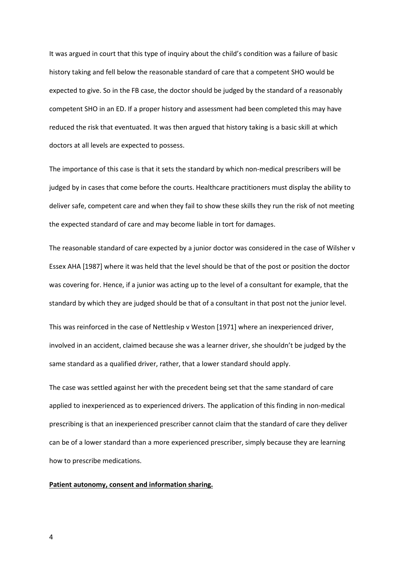It was argued in court that this type of inquiry about the child's condition was a failure of basic history taking and fell below the reasonable standard of care that a competent SHO would be expected to give. So in the FB case, the doctor should be judged by the standard of a reasonably competent SHO in an ED. If a proper history and assessment had been completed this may have reduced the risk that eventuated. It was then argued that history taking is a basic skill at which doctors at all levels are expected to possess.

The importance of this case is that it sets the standard by which non-medical prescribers will be judged by in cases that come before the courts. Healthcare practitioners must display the ability to deliver safe, competent care and when they fail to show these skills they run the risk of not meeting the expected standard of care and may become liable in tort for damages.

The reasonable standard of care expected by a junior doctor was considered in the case of Wilsher v Essex AHA [1987] where it was held that the level should be that of the post or position the doctor was covering for. Hence, if a junior was acting up to the level of a consultant for example, that the standard by which they are judged should be that of a consultant in that post not the junior level.

This was reinforced in the case of Nettleship v Weston [1971] where an inexperienced driver, involved in an accident, claimed because she was a learner driver, she shouldn't be judged by the same standard as a qualified driver, rather, that a lower standard should apply.

The case was settled against her with the precedent being set that the same standard of care applied to inexperienced as to experienced drivers. The application of this finding in non-medical prescribing is that an inexperienced prescriber cannot claim that the standard of care they deliver can be of a lower standard than a more experienced prescriber, simply because they are learning how to prescribe medications.

## **Patient autonomy, consent and information sharing.**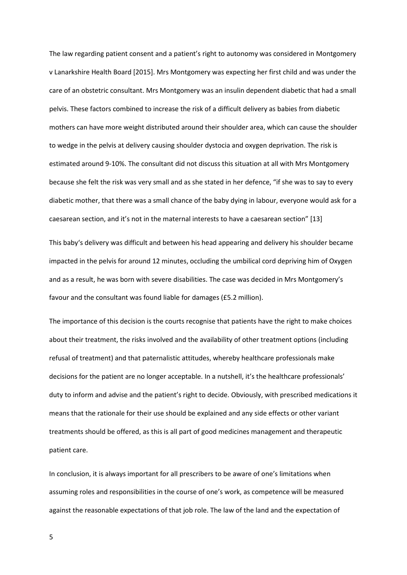The law regarding patient consent and a patient's right to autonomy was considered in Montgomery v Lanarkshire Health Board [2015]. Mrs Montgomery was expecting her first child and was under the care of an obstetric consultant. Mrs Montgomery was an insulin dependent diabetic that had a small pelvis. These factors combined to increase the risk of a difficult delivery as babies from diabetic mothers can have more weight distributed around their shoulder area, which can cause the shoulder to wedge in the pelvis at delivery causing shoulder dystocia and oxygen deprivation. The risk is estimated around 9-10%. The consultant did not discuss this situation at all with Mrs Montgomery because she felt the risk was very small and as she stated in her defence, "if she was to say to every diabetic mother, that there was a small chance of the baby dying in labour, everyone would ask for a caesarean section, and it's not in the maternal interests to have a caesarean section" [13]

This baby's delivery was difficult and between his head appearing and delivery his shoulder became impacted in the pelvis for around 12 minutes, occluding the umbilical cord depriving him of Oxygen and as a result, he was born with severe disabilities. The case was decided in Mrs Montgomery's favour and the consultant was found liable for damages (£5.2 million).

The importance of this decision is the courts recognise that patients have the right to make choices about their treatment, the risks involved and the availability of other treatment options (including refusal of treatment) and that paternalistic attitudes, whereby healthcare professionals make decisions for the patient are no longer acceptable. In a nutshell, it's the healthcare professionals' duty to inform and advise and the patient's right to decide. Obviously, with prescribed medications it means that the rationale for their use should be explained and any side effects or other variant treatments should be offered, as this is all part of good medicines management and therapeutic patient care.

In conclusion, it is always important for all prescribers to be aware of one's limitations when assuming roles and responsibilities in the course of one's work, as competence will be measured against the reasonable expectations of that job role. The law of the land and the expectation of

5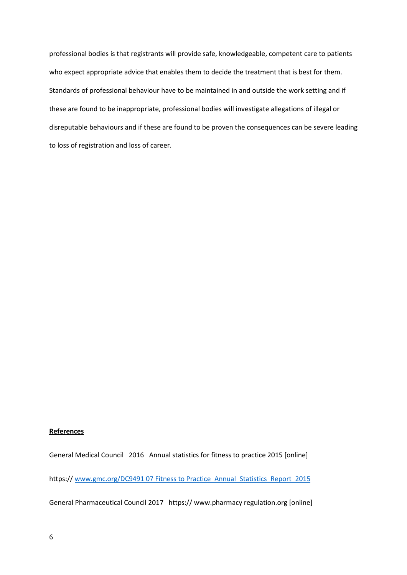professional bodies is that registrants will provide safe, knowledgeable, competent care to patients who expect appropriate advice that enables them to decide the treatment that is best for them. Standards of professional behaviour have to be maintained in and outside the work setting and if these are found to be inappropriate, professional bodies will investigate allegations of illegal or disreputable behaviours and if these are found to be proven the consequences can be severe leading to loss of registration and loss of career.

## **References**

General Medical Council 2016 Annual statistics for fitness to practice 2015 [online]

https:// [www.gmc.org/DC9491 07 Fitness to Practice\\_Annual\\_Statistics\\_Report\\_2015](http://www.gmc.org/DC9491%2007%20Fitness%20to%20Practice_Annual_Statistics_Report_2015)

General Pharmaceutical Council 2017 https:// www.pharmacy regulation.org [online]